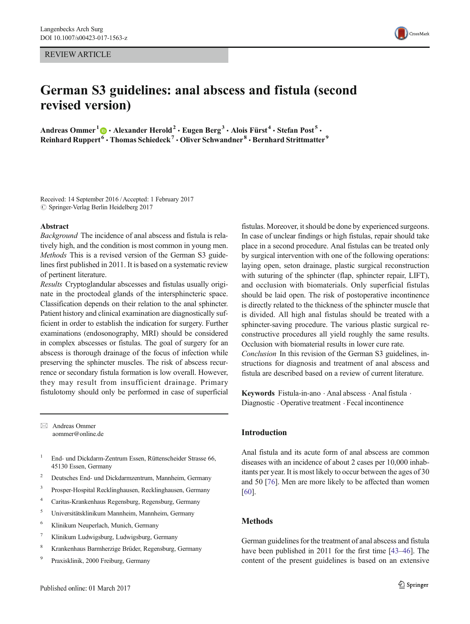REVIEW ARTICLE

# German S3 guidelines: anal abscess and fistula (second revised version)

Andreas Ommer<sup>1</sup>  $\bigcirc$  • Alexander Herold<sup>2</sup> • Eugen Berg<sup>3</sup> • Alois Fürst<sup>4</sup> • Stefan Post<sup>5</sup> • Reinhard Ruppert<sup>6</sup> • Thomas Schiedeck<sup>7</sup> • Oliver Schwandner<sup>8</sup> • Bernhard Strittmatter<sup>9</sup>

Received: 14 September 2016 /Accepted: 1 February 2017  $\oslash$  Springer-Verlag Berlin Heidelberg 2017

#### Abstract

Background The incidence of anal abscess and fistula is relatively high, and the condition is most common in young men. Methods This is a revised version of the German S3 guidelines first published in 2011. It is based on a systematic review of pertinent literature.

Results Cryptoglandular abscesses and fistulas usually originate in the proctodeal glands of the intersphincteric space. Classification depends on their relation to the anal sphincter. Patient history and clinical examination are diagnostically sufficient in order to establish the indication for surgery. Further examinations (endosonography, MRI) should be considered in complex abscesses or fistulas. The goal of surgery for an abscess is thorough drainage of the focus of infection while preserving the sphincter muscles. The risk of abscess recurrence or secondary fistula formation is low overall. However, they may result from insufficient drainage. Primary fistulotomy should only be performed in case of superficial

 $\boxtimes$  Andreas Ommer aommer@online.de

- <sup>1</sup> End- und Dickdarm-Zentrum Essen, Rüttenscheider Strasse 66, 45130 Essen, Germany
- <sup>2</sup> Deutsches End- und Dickdarmzentrum, Mannheim, Germany
- <sup>3</sup> Prosper-Hospital Recklinghausen, Recklinghausen, Germany
- <sup>4</sup> Caritas-Krankenhaus Regensburg, Regensburg, Germany
- <sup>5</sup> Universitätsklinikum Mannheim, Mannheim, Germany
- <sup>6</sup> Klinikum Neuperlach, Munich, Germany
- <sup>7</sup> Klinikum Ludwigsburg, Ludwigsburg, Germany
- <sup>8</sup> Krankenhaus Barmherzige Brüder, Regensburg, Germany
- <sup>9</sup> Praxisklinik, 2000 Freiburg, Germany



Keywords Fistula-in-ano  $\cdot$  Anal abscess  $\cdot$  Anal fistula  $\cdot$ Diagnostic  $\cdot$  Operative treatment  $\cdot$  Fecal incontinence

### Introduction

Anal fistula and its acute form of anal abscess are common diseases with an incidence of about 2 cases per 10,000 inhabitants per year. It is most likely to occur between the ages of 30 and 50 [[76\]](#page-10-0). Men are more likely to be affected than women [\[60](#page-10-0)].

# Methods

German guidelines for the treatment of anal abscess and fistula have been published in 2011 for the first time [[43](#page-10-0)–[46](#page-10-0)]. The content of the present guidelines is based on an extensive

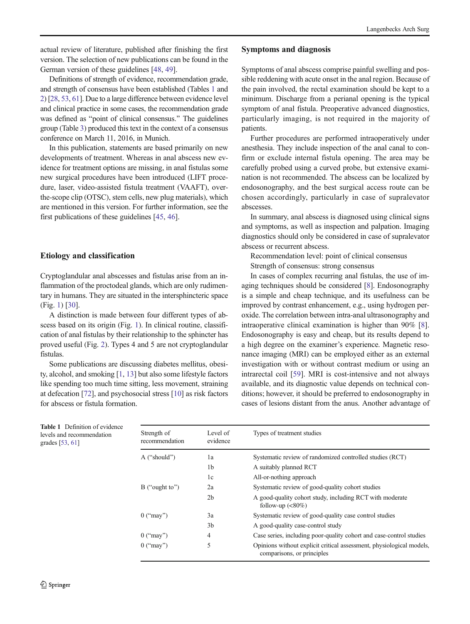actual review of literature, published after finishing the first version. The selection of new publications can be found in the German version of these guidelines [[48](#page-10-0), [49](#page-10-0)].

Definitions of strength of evidence, recommendation grade, and strength of consensus have been established (Tables 1 and [2\)](#page-2-0) [[28](#page-9-0), [53](#page-10-0), [61](#page-10-0)]. Due to a large difference between evidence level and clinical practice in some cases, the recommendation grade was defined as "point of clinical consensus." The guidelines group (Table [3](#page-2-0)) produced this text in the context of a consensus conference on March 11, 2016, in Munich.

In this publication, statements are based primarily on new developments of treatment. Whereas in anal abscess new evidence for treatment options are missing, in anal fistulas some new surgical procedures have been introduced (LIFT procedure, laser, video-assisted fistula treatment (VAAFT), overthe-scope clip (OTSC), stem cells, new plug materials), which are mentioned in this version. For further information, see the first publications of these guidelines [\[45](#page-10-0), [46](#page-10-0)].

# Etiology and classification

Cryptoglandular anal abscesses and fistulas arise from an inflammation of the proctodeal glands, which are only rudimentary in humans. They are situated in the intersphincteric space (Fig. [1](#page-3-0)) [\[30\]](#page-9-0).

A distinction is made between four different types of abscess based on its origin (Fig. [1\)](#page-3-0). In clinical routine, classification of anal fistulas by their relationship to the sphincter has proved useful (Fig. [2\)](#page-3-0). Types 4 and 5 are not cryptoglandular fistulas.

Some publications are discussing diabetes mellitus, obesity, alcohol, and smoking [[1](#page-9-0), [13\]](#page-9-0) but also some lifestyle factors like spending too much time sitting, less movement, straining at defecation [\[72\]](#page-10-0), and psychosocial stress [\[10\]](#page-9-0) as risk factors for abscess or fistula formation.

# Symptoms and diagnosis

Symptoms of anal abscess comprise painful swelling and possible reddening with acute onset in the anal region. Because of the pain involved, the rectal examination should be kept to a minimum. Discharge from a perianal opening is the typical symptom of anal fistula. Preoperative advanced diagnostics, particularly imaging, is not required in the majority of patients.

Further procedures are performed intraoperatively under anesthesia. They include inspection of the anal canal to confirm or exclude internal fistula opening. The area may be carefully probed using a curved probe, but extensive examination is not recommended. The abscess can be localized by endosonography, and the best surgical access route can be chosen accordingly, particularly in case of supralevator abscesses.

In summary, anal abscess is diagnosed using clinical signs and symptoms, as well as inspection and palpation. Imaging diagnostics should only be considered in case of supralevator abscess or recurrent abscess.

Recommendation level: point of clinical consensus Strength of consensus: strong consensus

In cases of complex recurring anal fistulas, the use of imaging techniques should be considered [[8\]](#page-9-0). Endosonography is a simple and cheap technique, and its usefulness can be improved by contrast enhancement, e.g., using hydrogen peroxide. The correlation between intra-anal ultrasonography and intraoperative clinical examination is higher than 90% [[8\]](#page-9-0). Endosonography is easy and cheap, but its results depend to a high degree on the examiner's experience. Magnetic resonance imaging (MRI) can be employed either as an external investigation with or without contrast medium or using an intrarectal coil [\[59](#page-10-0)]. MRI is cost-intensive and not always available, and its diagnostic value depends on technical conditions; however, it should be preferred to endosonography in cases of lesions distant from the anus. Another advantage of

|                 | <b>Table 1</b> Definition of evidence |
|-----------------|---------------------------------------|
|                 | levels and recommendation             |
| grades [53, 61] |                                       |

| Strength of<br>recommendation | Level of<br>evidence | Types of treatment studies                                                                         |
|-------------------------------|----------------------|----------------------------------------------------------------------------------------------------|
| $A$ ("should")                | 1a                   | Systematic review of randomized controlled studies (RCT)                                           |
|                               | 1b                   | A suitably planned RCT                                                                             |
|                               | 1c                   | All-or-nothing approach                                                                            |
| $\mathbf{B}$ ("ought to")     | 2a                   | Systematic review of good-quality cohort studies                                                   |
|                               | 2b                   | A good-quality cohort study, including RCT with moderate<br>follow-up $(<80\%)$                    |
| $0$ ("may")                   | 3a                   | Systematic review of good-quality case control studies                                             |
|                               | 3b                   | A good-quality case-control study                                                                  |
| $0$ ("may")                   | 4                    | Case series, including poor-quality cohort and case-control studies                                |
| $0$ ("may")                   | 5                    | Opinions without explicit critical assessment, physiological models,<br>comparisons, or principles |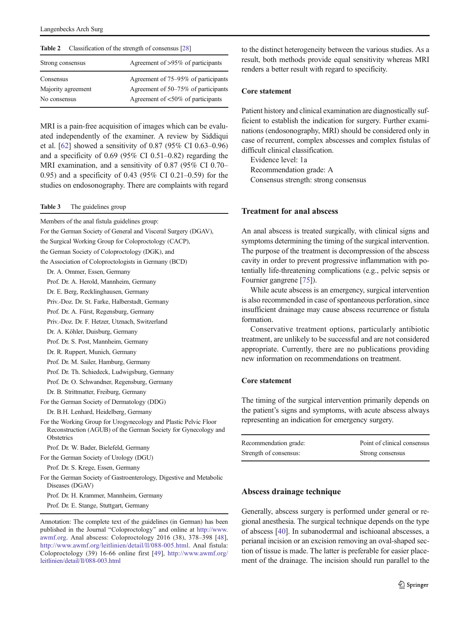<span id="page-2-0"></span>

| Agreement of >95% of participants                                                                               |
|-----------------------------------------------------------------------------------------------------------------|
| Agreement of 75–95% of participants<br>Agreement of 50–75% of participants<br>Agreement of <50% of participants |
|                                                                                                                 |

MRI is a pain-free acquisition of images which can be evaluated independently of the examiner. A review by Siddiqui et al. [\[62\]](#page-10-0) showed a sensitivity of 0.87 (95% CI 0.63–0.96) and a specificity of 0.69 (95% CI 0.51–0.82) regarding the MRI examination, and a sensitivity of 0.87 (95% CI 0.70– 0.95) and a specificity of 0.43 (95% CI 0.21–0.59) for the studies on endosonography. There are complaints with regard

Table 3 The guidelines group

Members of the anal fistula guidelines group: For the German Society of General and Visceral Surgery (DGAV), the Surgical Working Group for Coloproctology (CACP), the German Society of Coloproctology (DGK), and the Association of Coloproctologists in Germany (BCD) Dr. A. Ommer, Essen, Germany Prof. Dr. A. Herold, Mannheim, Germany Dr. E. Berg, Recklinghausen, Germany Priv.-Doz. Dr. St. Farke, Halberstadt, Germany Prof. Dr. A. Fürst, Regensburg, Germany Priv.-Doz. Dr. F. Hetzer, Utznach, Switzerland Dr. A. Köhler, Duisburg, Germany Prof. Dr. S. Post, Mannheim, Germany Dr. R. Ruppert, Munich, Germany Prof. Dr. M. Sailer, Hamburg, Germany Prof. Dr. Th. Schiedeck, Ludwigsburg, Germany Prof. Dr. O. Schwandner, Regensburg, Germany Dr. B. Strittmatter, Freiburg, Germany For the German Society of Dermatology (DDG) Dr. B.H. Lenhard, Heidelberg, Germany For the Working Group for Urogynecology and Plastic Pelvic Floor Reconstruction (AGUB) of the German Society for Gynecology and **Obstetrics** Prof. Dr. W. Bader, Bielefeld, Germany For the German Society of Urology (DGU) Prof. Dr. S. Krege, Essen, Germany For the German Society of Gastroenterology, Digestive and Metabolic Diseases (DGAV) Prof. Dr. H. Krammer, Mannheim, Germany

Prof. Dr. E. Stange, Stuttgart, Germany

to the distinct heterogeneity between the various studies. As a result, both methods provide equal sensitivity whereas MRI renders a better result with regard to specificity.

### Core statement

Patient history and clinical examination are diagnostically sufficient to establish the indication for surgery. Further examinations (endosonography, MRI) should be considered only in case of recurrent, complex abscesses and complex fistulas of difficult clinical classification.

Evidence level: 1a Recommendation grade: A Consensus strength: strong consensus

# Treatment for anal abscess

An anal abscess is treated surgically, with clinical signs and symptoms determining the timing of the surgical intervention. The purpose of the treatment is decompression of the abscess cavity in order to prevent progressive inflammation with potentially life-threatening complications (e.g., pelvic sepsis or Fournier gangrene [\[75\]](#page-10-0)).

While acute abscess is an emergency, surgical intervention is also recommended in case of spontaneous perforation, since insufficient drainage may cause abscess recurrence or fistula formation.

Conservative treatment options, particularly antibiotic treatment, are unlikely to be successful and are not considered appropriate. Currently, there are no publications providing new information on recommendations on treatment.

### Core statement

The timing of the surgical intervention primarily depends on the patient's signs and symptoms, with acute abscess always representing an indication for emergency surgery.

| Recommendation grade:  | Point of clinical consensus |
|------------------------|-----------------------------|
| Strength of consensus: | Strong consensus            |

### Abscess drainage technique

Generally, abscess surgery is performed under general or regional anesthesia. The surgical technique depends on the type of abscess [\[40\]](#page-10-0). In subanodermal and ischioanal abscesses, a perianal incision or an excision removing an oval-shaped section of tissue is made. The latter is preferable for easier placement of the drainage. The incision should run parallel to the

Annotation: The complete text of the guidelines (in German) has been published in the Journal "Coloproctology" and online at [http://www.](http://www.awmf.org) [awmf.org](http://www.awmf.org). Anal abscess: Coloproctology 2016 (38), 378–398 [[48](#page-10-0)], [http://www.awmf.org/leitlinien/detail/ll/088-005.html.](http://www.awmf.org/leitlinien/detail/ll/088-005.html) Anal fistula: Coloproctology (39) 16-66 online first [\[49](#page-10-0)], [http://www.awmf.org/](http://www.awmf.org/leitlinien/detail/ll/088-003.html) [leitlinien/detail/ll/088-003.html](http://www.awmf.org/leitlinien/detail/ll/088-003.html)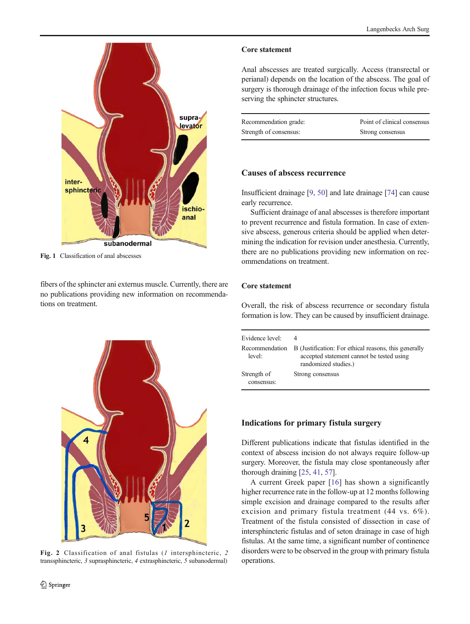<span id="page-3-0"></span>

Fig. 1 Classification of anal abscesses

fibers of the sphincter ani externus muscle. Currently, there are no publications providing new information on recommendations on treatment.



Fig. 2 Classification of anal fistulas (1 intersphincteric, 2 transsphincteric, 3 suprasphincteric, 4 extrasphincteric, 5 subanodermal)

### Core statement

Anal abscesses are treated surgically. Access (transrectal or perianal) depends on the location of the abscess. The goal of surgery is thorough drainage of the infection focus while preserving the sphincter structures.

| Recommendation grade:  | Point of clinical consensus |
|------------------------|-----------------------------|
| Strength of consensus: | Strong consensus            |

# Causes of abscess recurrence

Insufficient drainage [\[9](#page-9-0), [50](#page-10-0)] and late drainage [[74](#page-10-0)] can cause early recurrence.

Sufficient drainage of anal abscesses is therefore important to prevent recurrence and fistula formation. In case of extensive abscess, generous criteria should be applied when determining the indication for revision under anesthesia. Currently, there are no publications providing new information on recommendations on treatment.

# Core statement

Overall, the risk of abscess recurrence or secondary fistula formation is low. They can be caused by insufficient drainage.

| Evidence level:           | B (Justification: For ethical reasons, this generally |
|---------------------------|-------------------------------------------------------|
| Recommendation            | accepted statement cannot be tested using             |
| level:                    | randomized studies.)                                  |
| Strength of<br>consensus: | Strong consensus                                      |

# Indications for primary fistula surgery

Different publications indicate that fistulas identified in the context of abscess incision do not always require follow-up surgery. Moreover, the fistula may close spontaneously after thorough draining [[25,](#page-9-0) [41,](#page-10-0) [57](#page-10-0)].

A current Greek paper [[16\]](#page-9-0) has shown a significantly higher recurrence rate in the follow-up at 12 months following simple excision and drainage compared to the results after excision and primary fistula treatment (44 vs. 6%). Treatment of the fistula consisted of dissection in case of intersphincteric fistulas and of seton drainage in case of high fistulas. At the same time, a significant number of continence disorders were to be observed in the group with primary fistula operations.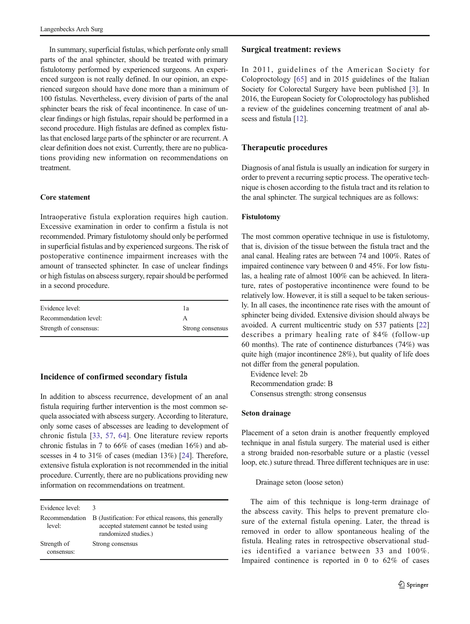In summary, superficial fistulas, which perforate only small parts of the anal sphincter, should be treated with primary fistulotomy performed by experienced surgeons. An experienced surgeon is not really defined. In our opinion, an experienced surgeon should have done more than a minimum of 100 fistulas. Nevertheless, every division of parts of the anal sphincter bears the risk of fecal incontinence. In case of unclear findings or high fistulas, repair should be performed in a second procedure. High fistulas are defined as complex fistulas that enclosed large parts of the sphincter or are recurrent. A clear definition does not exist. Currently, there are no publications providing new information on recommendations on treatment.

# Core statement

Intraoperative fistula exploration requires high caution. Excessive examination in order to confirm a fistula is not recommended. Primary fistulotomy should only be performed in superficial fistulas and by experienced surgeons. The risk of postoperative continence impairment increases with the amount of transected sphincter. In case of unclear findings or high fistulas on abscess surgery, repair should be performed in a second procedure.

| Evidence level:        | lа               |
|------------------------|------------------|
| Recommendation level:  |                  |
| Strength of consensus: | Strong consensus |

# Incidence of confirmed secondary fistula

In addition to abscess recurrence, development of an anal fistula requiring further intervention is the most common sequela associated with abscess surgery. According to literature, only some cases of abscesses are leading to development of chronic fistula [\[33](#page-9-0), [57,](#page-10-0) [64](#page-10-0)]. One literature review reports chronic fistulas in 7 to 66% of cases (median 16%) and abscesses in 4 to 31% of cases (median 13%) [\[24\]](#page-9-0). Therefore, extensive fistula exploration is not recommended in the initial procedure. Currently, there are no publications providing new information on recommendations on treatment.

| Evidence level:           | 3                                                                                                                          |
|---------------------------|----------------------------------------------------------------------------------------------------------------------------|
| Recommendation<br>level:  | B (Justification: For ethical reasons, this generally<br>accepted statement cannot be tested using<br>randomized studies.) |
| Strength of<br>consensus: | Strong consensus                                                                                                           |

### Surgical treatment: reviews

In 2011, guidelines of the American Society for Coloproctology [[65\]](#page-10-0) and in 2015 guidelines of the Italian Society for Colorectal Surgery have been published [[3\]](#page-9-0). In 2016, the European Society for Coloproctology has published a review of the guidelines concerning treatment of anal ab-scess and fistula [\[12\]](#page-9-0).

# Therapeutic procedures

Diagnosis of anal fistula is usually an indication for surgery in order to prevent a recurring septic process. The operative technique is chosen according to the fistula tract and its relation to the anal sphincter. The surgical techniques are as follows:

### Fistulotomy

The most common operative technique in use is fistulotomy, that is, division of the tissue between the fistula tract and the anal canal. Healing rates are between 74 and 100%. Rates of impaired continence vary between 0 and 45%. For low fistulas, a healing rate of almost 100% can be achieved. In literature, rates of postoperative incontinence were found to be relatively low. However, it is still a sequel to be taken seriously. In all cases, the incontinence rate rises with the amount of sphincter being divided. Extensive division should always be avoided. A current multicentric study on 537 patients [\[22](#page-9-0)] describes a primary healing rate of 84% (follow-up 60 months). The rate of continence disturbances (74%) was quite high (major incontinence 28%), but quality of life does not differ from the general population.

Evidence level: 2b Recommendation grade: B Consensus strength: strong consensus

### Seton drainage

Placement of a seton drain is another frequently employed technique in anal fistula surgery. The material used is either a strong braided non-resorbable suture or a plastic (vessel loop, etc.) suture thread. Three different techniques are in use:

### Drainage seton (loose seton)

The aim of this technique is long-term drainage of the abscess cavity. This helps to prevent premature closure of the external fistula opening. Later, the thread is removed in order to allow spontaneous healing of the fistula. Healing rates in retrospective observational studies identified a variance between 33 and 100%. Impaired continence is reported in 0 to 62% of cases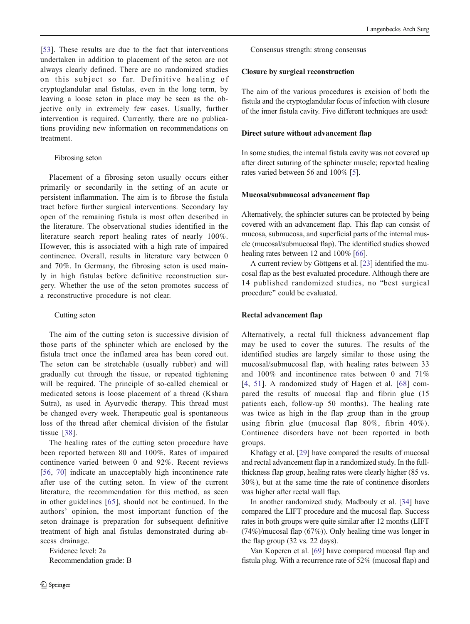[\[53\]](#page-10-0). These results are due to the fact that interventions undertaken in addition to placement of the seton are not always clearly defined. There are no randomized studies on this subject so far. Definitive healing of cryptoglandular anal fistulas, even in the long term, by leaving a loose seton in place may be seen as the ob-

jective only in extremely few cases. Usually, further intervention is required. Currently, there are no publications providing new information on recommendations on treatment.

# Fibrosing seton

Placement of a fibrosing seton usually occurs either primarily or secondarily in the setting of an acute or persistent inflammation. The aim is to fibrose the fistula tract before further surgical interventions. Secondary lay open of the remaining fistula is most often described in the literature. The observational studies identified in the literature search report healing rates of nearly 100%. However, this is associated with a high rate of impaired continence. Overall, results in literature vary between 0 and 70%. In Germany, the fibrosing seton is used mainly in high fistulas before definitive reconstruction surgery. Whether the use of the seton promotes success of a reconstructive procedure is not clear.

# Cutting seton

The aim of the cutting seton is successive division of those parts of the sphincter which are enclosed by the fistula tract once the inflamed area has been cored out. The seton can be stretchable (usually rubber) and will gradually cut through the tissue, or repeated tightening will be required. The principle of so-called chemical or medicated setons is loose placement of a thread (Kshara Sutra), as used in Ayurvedic therapy. This thread must be changed every week. Therapeutic goal is spontaneous loss of the thread after chemical division of the fistular tissue [[38](#page-10-0)].

The healing rates of the cutting seton procedure have been reported between 80 and 100%. Rates of impaired continence varied between 0 and 92%. Recent reviews [\[56,](#page-10-0) [70](#page-10-0)] indicate an unacceptably high incontinence rate after use of the cutting seton. In view of the current literature, the recommendation for this method, as seen in other guidelines [\[65\]](#page-10-0), should not be continued. In the authors' opinion, the most important function of the seton drainage is preparation for subsequent definitive treatment of high anal fistulas demonstrated during abscess drainage.

Evidence level: 2a Recommendation grade: B Consensus strength: strong consensus

# Closure by surgical reconstruction

The aim of the various procedures is excision of both the fistula and the cryptoglandular focus of infection with closure of the inner fistula cavity. Five different techniques are used:

# Direct suture without advancement flap

In some studies, the internal fistula cavity was not covered up after direct suturing of the sphincter muscle; reported healing rates varied between 56 and 100% [\[5](#page-9-0)].

# Mucosal/submucosal advancement flap

Alternatively, the sphincter sutures can be protected by being covered with an advancement flap. This flap can consist of mucosa, submucosa, and superficial parts of the internal muscle (mucosal/submucosal flap). The identified studies showed healing rates between 12 and 100% [[66\]](#page-10-0).

A current review by Göttgens et al. [[23](#page-9-0)] identified the mucosal flap as the best evaluated procedure. Although there are 14 published randomized studies, no "best surgical procedure" could be evaluated.

# Rectal advancement flap

Alternatively, a rectal full thickness advancement flap may be used to cover the sutures. The results of the identified studies are largely similar to those using the mucosal/submucosal flap, with healing rates between 33 and 100% and incontinence rates between 0 and 71% [\[4,](#page-9-0) [51\]](#page-10-0). A randomized study of Hagen et al. [[68\]](#page-10-0) compared the results of mucosal flap and fibrin glue (15 patients each, follow-up 50 months). The healing rate was twice as high in the flap group than in the group using fibrin glue (mucosal flap 80%, fibrin 40%). Continence disorders have not been reported in both groups.

Khafagy et al. [\[29](#page-9-0)] have compared the results of mucosal and rectal advancement flap in a randomized study. In the fullthickness flap group, healing rates were clearly higher (85 vs. 30%), but at the same time the rate of continence disorders was higher after rectal wall flap.

In another randomized study, Madbouly et al. [\[34\]](#page-9-0) have compared the LIFT procedure and the mucosal flap. Success rates in both groups were quite similar after 12 months (LIFT (74%)/mucosal flap (67%)). Only healing time was longer in the flap group (32 vs. 22 days).

Van Koperen et al. [[69\]](#page-10-0) have compared mucosal flap and fistula plug. With a recurrence rate of 52% (mucosal flap) and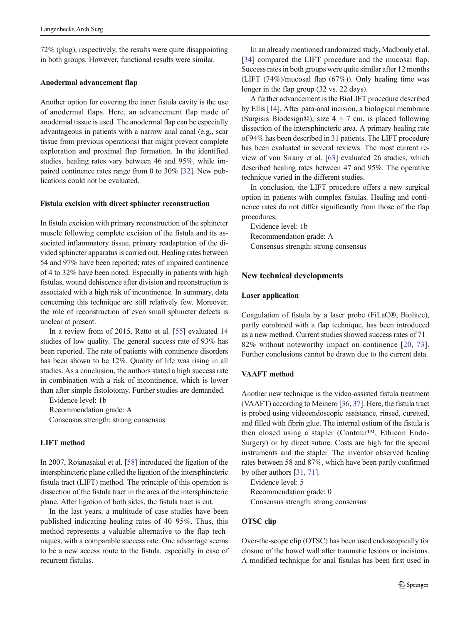72% (plug), respectively, the results were quite disappointing in both groups. However, functional results were similar.

### Anodermal advancement flap

Another option for covering the inner fistula cavity is the use of anodermal flaps. Here, an advancement flap made of anodermal tissue is used. The anodermal flap can be especially advantageous in patients with a narrow anal canal (e.g., scar tissue from previous operations) that might prevent complete exploration and proximal flap formation. In the identified studies, healing rates vary between 46 and 95%, while impaired continence rates range from 0 to 30% [[32\]](#page-9-0). New publications could not be evaluated.

### Fistula excision with direct sphincter reconstruction

In fistula excision with primary reconstruction of the sphincter muscle following complete excision of the fistula and its associated inflammatory tissue, primary readaptation of the divided sphincter apparatus is carried out. Healing rates between 54 and 97% have been reported; rates of impaired continence of 4 to 32% have been noted. Especially in patients with high fistulas, wound dehiscence after division and reconstruction is associated with a high risk of incontinence. In summary, data concerning this technique are still relatively few. Moreover, the role of reconstruction of even small sphincter defects is unclear at present.

In a review from of 2015, Ratto et al. [\[55\]](#page-10-0) evaluated 14 studies of low quality. The general success rate of 93% has been reported. The rate of patients with continence disorders has been shown to be 12%. Quality of life was rising in all studies. As a conclusion, the authors stated a high success rate in combination with a risk of incontinence, which is lower than after simple fistolotomy. Further studies are demanded.

Evidence level: 1b

Recommendation grade: A

Consensus strength: strong consensus

### LIFT method

In 2007, Rojanasakul et al. [\[58\]](#page-10-0) introduced the ligation of the intersphincteric plane called the ligation of the intersphincteric fistula tract (LIFT) method. The principle of this operation is dissection of the fistula tract in the area of the intersphincteric plane. After ligation of both sides, the fistula tract is cut.

In the last years, a multitude of case studies have been published indicating healing rates of 40–95%. Thus, this method represents a valuable alternative to the flap techniques, with a comparable success rate. One advantage seems to be a new access route to the fistula, especially in case of recurrent fistulas.

In an already mentioned randomized study, Madbouly et al. [\[34\]](#page-9-0) compared the LIFT procedure and the mucosal flap. Success rates in both groups were quite similar after 12 months (LIFT (74%)/mucosal flap (67%)). Only healing time was longer in the flap group (32 vs. 22 days).

A further advancement is the BioLIFT procedure described by Ellis [[14](#page-9-0)]. After para-anal incision, a biological membrane (Surgisis Biodesign©), size  $4 \times 7$  cm, is placed following dissection of the intersphincteric area. A primary healing rate of 94% has been described in 31 patients. The LIFT procedure has been evaluated in several reviews. The most current review of von Sirany et al. [[63](#page-10-0)] evaluated 26 studies, which described healing rates between 47 and 95%. The operative technique varied in the different studies.

In conclusion, the LIFT procedure offers a new surgical option in patients with complex fistulas. Healing and continence rates do not differ significantly from those of the flap procedures.

Evidence level: 1b Recommendation grade: A Consensus strength: strong consensus

### New technical developments

### Laser application

Coagulation of fistula by a laser probe (FiLaC®, Biolitec), partly combined with a flap technique, has been introduced as a new method. Current studies showed success rates of 71– 82% without noteworthy impact on continence [\[20,](#page-9-0) [73](#page-10-0)]. Further conclusions cannot be drawn due to the current data.

### VAAFT method

Another new technique is the video-assisted fistula treatment (VAAFT) according to Meinero [\[36,](#page-10-0) [37](#page-10-0)]. Here, the fistula tract is probed using videoendoscopic assistance, rinsed, curetted, and filled with fibrin glue. The internal ostium of the fistula is then closed using a stapler (Contour™, Ethicon Endo-Surgery) or by direct suture. Costs are high for the special instruments and the stapler. The inventor observed healing rates between 58 and 87%, which have been partly confirmed by other authors [\[31](#page-9-0), [71\]](#page-10-0).

Evidence level: 5 Recommendation grade: 0 Consensus strength: strong consensus

### OTSC clip

Over-the-scope clip (OTSC) has been used endoscopically for closure of the bowel wall after traumatic lesions or incisions. A modified technique for anal fistulas has been first used in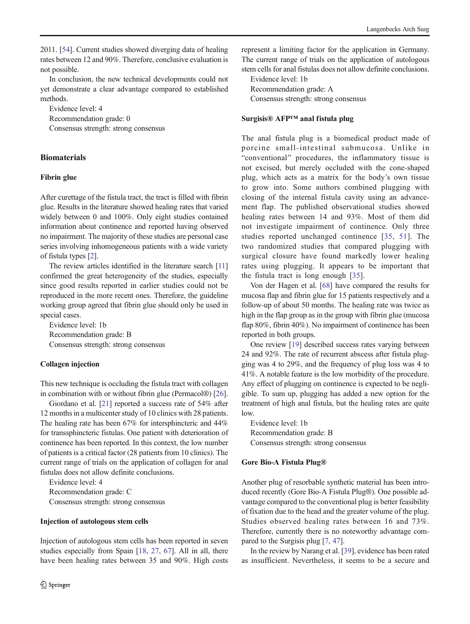2011. [[54](#page-10-0)]. Current studies showed diverging data of healing rates between 12 and 90%. Therefore, conclusive evaluation is not possible.

In conclusion, the new technical developments could not yet demonstrate a clear advantage compared to established methods.

Evidence level: 4

Recommendation grade: 0

Consensus strength: strong consensus

# **Biomaterials**

# Fibrin glue

After curettage of the fistula tract, the tract is filled with fibrin glue. Results in the literature showed healing rates that varied widely between 0 and 100%. Only eight studies contained information about continence and reported having observed no impairment. The majority of these studies are personal case series involving inhomogeneous patients with a wide variety of fistula types [\[2](#page-9-0)].

The review articles identified in the literature search [\[11\]](#page-9-0) confirmed the great heterogeneity of the studies, especially since good results reported in earlier studies could not be reproduced in the more recent ones. Therefore, the guideline working group agreed that fibrin glue should only be used in special cases.

Evidence level: 1b Recommendation grade: B Consensus strength: strong consensus

# Collagen injection

This new technique is occluding the fistula tract with collagen in combination with or without fibrin glue (Permacol®) [[26\]](#page-9-0).

Giordano et al. [[21\]](#page-9-0) reported a success rate of 54% after 12 months in a multicenter study of 10 clinics with 28 patients. The healing rate has been 67% for intersphincteric and 44% for transsphincteric fistulas. One patient with deterioration of continence has been reported. In this context, the low number of patients is a critical factor (28 patients from 10 clinics). The current range of trials on the application of collagen for anal fistulas does not allow definite conclusions.

Evidence level: 4 Recommendation grade: C Consensus strength: strong consensus

### Injection of autologous stem cells

Injection of autologous stem cells has been reported in seven studies especially from Spain [[18](#page-9-0), [27](#page-9-0), [67](#page-10-0)]. All in all, there have been healing rates between 35 and 90%. High costs represent a limiting factor for the application in Germany. The current range of trials on the application of autologous stem cells for anal fistulas does not allow definite conclusions.

Evidence level: 1b Recommendation grade: A Consensus strength: strong consensus

### Surgisis® AFP™ anal fistula plug

The anal fistula plug is a biomedical product made of porcine small-intestinal submucosa. Unlike in "conventional" procedures, the inflammatory tissue is not excised, but merely occluded with the cone-shaped plug, which acts as a matrix for the body's own tissue to grow into. Some authors combined plugging with closing of the internal fistula cavity using an advancement flap. The published observational studies showed healing rates between 14 and 93%. Most of them did not investigate impairment of continence. Only three studies reported unchanged continence [[35,](#page-9-0) [51](#page-10-0)]. The two randomized studies that compared plugging with surgical closure have found markedly lower healing rates using plugging. It appears to be important that the fistula tract is long enough [[35\]](#page-9-0).

Von der Hagen et al. [\[68](#page-10-0)] have compared the results for mucosa flap and fibrin glue for 15 patients respectively and a follow-up of about 50 months. The healing rate was twice as high in the flap group as in the group with fibrin glue (mucosa flap 80%, fibrin 40%). No impairment of continence has been reported in both groups.

One review [\[19](#page-9-0)] described success rates varying between 24 and 92%. The rate of recurrent abscess after fistula plugging was 4 to 29%, and the frequency of plug loss was 4 to 41%. A notable feature is the low morbidity of the procedure. Any effect of plugging on continence is expected to be negligible. To sum up, plugging has added a new option for the treatment of high anal fistula, but the healing rates are quite low.

Evidence level: 1b Recommendation grade: B Consensus strength: strong consensus

### Gore Bio-A Fistula Plug®

Another plug of resorbable synthetic material has been introduced recently (Gore Bio-A Fistula Plug®). One possible advantage compared to the conventional plug is better feasibility of fixation due to the head and the greater volume of the plug. Studies observed healing rates between 16 and 73%. Therefore, currently there is no noteworthy advantage compared to the Surgisis plug [[7,](#page-9-0) [47](#page-10-0)].

In the review by Narang et al. [[39\]](#page-10-0), evidence has been rated as insufficient. Nevertheless, it seems to be a secure and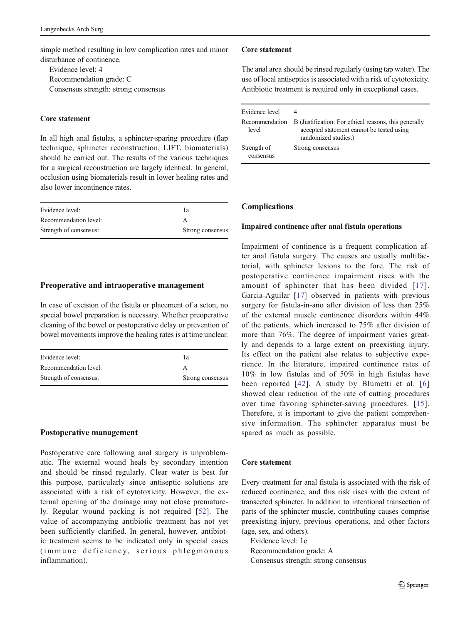simple method resulting in low complication rates and minor disturbance of continence.

Evidence level: 4 Recommendation grade: C Consensus strength: strong consensus

### Core statement

In all high anal fistulas, a sphincter-sparing procedure (flap technique, sphincter reconstruction, LIFT, biomaterials) should be carried out. The results of the various techniques for a surgical reconstruction are largely identical. In general, occlusion using biomaterials result in lower healing rates and also lower incontinence rates.

| Evidence level:        | lа               |
|------------------------|------------------|
| Recommendation level:  |                  |
| Strength of consensus: | Strong consensus |

# Preoperative and intraoperative management

In case of excision of the fistula or placement of a seton, no special bowel preparation is necessary. Whether preoperative cleaning of the bowel or postoperative delay or prevention of bowel movements improve the healing rates is at time unclear.

| Evidence level:        | lа               |
|------------------------|------------------|
| Recommendation level:  |                  |
| Strength of consensus: | Strong consensus |

# Postoperative management

Postoperative care following anal surgery is unproblematic. The external wound heals by secondary intention and should be rinsed regularly. Clear water is best for this purpose, particularly since antiseptic solutions are associated with a risk of cytotoxicity. However, the external opening of the drainage may not close prematurely. Regular wound packing is not required [\[52\]](#page-10-0). The value of accompanying antibiotic treatment has not yet been sufficiently clarified. In general, however, antibiotic treatment seems to be indicated only in special cases (immune deficiency, serious phlegmonous inflammation).

### Core statement

The anal area should be rinsed regularly (using tap water). The use of local antiseptics is associated with a risk of cytotoxicity. Antibiotic treatment is required only in exceptional cases.

| Evidence level           | B (Justification: For ethical reasons, this generally |
|--------------------------|-------------------------------------------------------|
| Recommendation           | accepted statement cannot be tested using             |
| level                    | randomized studies.)                                  |
| Strength of<br>consensus | Strong consensus                                      |

# Complications

### Impaired continence after anal fistula operations

Impairment of continence is a frequent complication after anal fistula surgery. The causes are usually multifactorial, with sphincter lesions to the fore. The risk of postoperative continence impairment rises with the amount of sphincter that has been divided [[17\]](#page-9-0). Garcia-Aguilar [[17\]](#page-9-0) observed in patients with previous surgery for fistula-in-ano after division of less than 25% of the external muscle continence disorders within 44% of the patients, which increased to 75% after division of more than 76%. The degree of impairment varies greatly and depends to a large extent on preexisting injury. Its effect on the patient also relates to subjective experience. In the literature, impaired continence rates of 10% in low fistulas and of 50% in high fistulas have been reported [[42\]](#page-10-0). A study by Blumetti et al. [[6](#page-9-0)] showed clear reduction of the rate of cutting procedures over time favoring sphincter-saving procedures. [[15](#page-9-0)]. Therefore, it is important to give the patient comprehensive information. The sphincter apparatus must be spared as much as possible.

# Core statement

Every treatment for anal fistula is associated with the risk of reduced continence, and this risk rises with the extent of transected sphincter. In addition to intentional transection of parts of the sphincter muscle, contributing causes comprise preexisting injury, previous operations, and other factors (age, sex, and others).

Evidence level: 1c Recommendation grade: A Consensus strength: strong consensus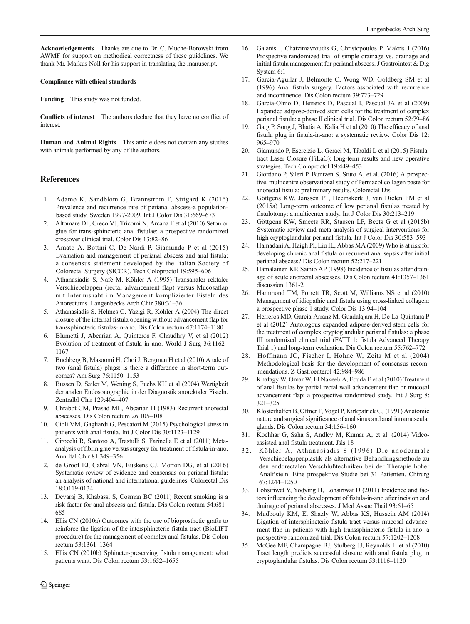<span id="page-9-0"></span>Acknowledgements Thanks are due to Dr. C. Muche-Borowski from AWMF for support on methodical correctness of these guidelines. We thank Mr. Markus Noll for his support in translating the manuscript.

#### Compliance with ethical standards

Funding This study was not funded.

Conflicts of interest The authors declare that they have no conflict of interest.

Human and Animal Rights This article does not contain any studies with animals performed by any of the authors.

# References

- 1. Adamo K, Sandblom G, Brannstrom F, Strigard K (2016) Prevalence and recurrence rate of perianal abscess-a populationbased study, Sweden 1997-2009. Int J Color Dis 31:669–673
- 2. Altomare DF, Greco VJ, Tricomi N, Arcana F et al (2010) Seton or glue for trans-sphincteric anal fistulae: a prospective randomized crossover clinical trial. Color Dis 13:82–86
- 3. Amato A, Bottini C, De Nardi P, Giamundo P et al (2015) Evaluation and management of perianal abscess and anal fistula: a consensus statement developed by the Italian Society of Colorectal Surgery (SICCR). Tech Coloproctol 19:595–606
- 4. Athanasiadis S, Nafe M, Köhler A (1995) Transanaler rektaler Verschiebelappen (rectal advancement flap) versus Mucosaflap mit Internusnaht im Management komplizierter Fisteln des Anorectums. Langenbecks Arch Chir 380:31–36
- 5. Athanasiadis S, Helmes C, Yazigi R, Köhler A (2004) The direct closure of the internal fistula opening without advancement flap for transsphincteric fistulas-in-ano. Dis Colon rectum 47:1174–1180
- 6. Blumetti J, Abcarian A, Quinteros F, Chaudhry V, et al (2012) Evolution of treatment of fistula in ano. World J Surg 36:1162– 1167
- 7. Buchberg B, Masoomi H, Choi J, Bergman H et al (2010) A tale of two (anal fistula) plugs: is there a difference in short-term outcomes? Am Surg 76:1150–1153
- 8. Bussen D, Sailer M, Wening S, Fuchs KH et al (2004) Wertigkeit der analen Endosonographie in der Diagnostik anorektaler Fisteln. Zentralbl Chir 129:404–407
- 9. Chrabot CM, Prasad ML, Abcarian H (1983) Recurrent anorectal abscesses. Dis Colon rectum 26:105–108
- 10. Cioli VM, Gagliardi G, Pescatori M (2015) Psychological stress in patients with anal fistula. Int J Color Dis 30:1123–1129
- 11. Cirocchi R, Santoro A, Trastulli S, Farinella E et al (2011) Metaanalysis of fibrin glue versus surgery for treatment of fistula-in-ano. Ann Ital Chir 81:349–356
- 12. de Groof EJ, Cabral VN, Buskens CJ, Morton DG, et al (2016) Systematic review of evidence and consensus on perianal fistula: an analysis of national and international guidelines. Colorectal Dis 18:O119-0134
- 13. Devaraj B, Khabassi S, Cosman BC (2011) Recent smoking is a risk factor for anal abscess and fistula. Dis Colon rectum 54:681– 685
- 14. Ellis CN (2010a) Outcomes with the use of bioprosthetic grafts to reinforce the ligation of the intersphincteric fistula tract (BioLIFT procedure) for the management of complex anal fistulas. Dis Colon rectum 53:1361–1364
- 15. Ellis CN (2010b) Sphincter-preserving fistula management: what patients want. Dis Colon rectum 53:1652–1655
- 16. Galanis I, Chatzimavroudis G, Christopoulos P, Makris J (2016) Prospective randomized trial of simple drainage vs. drainage and initial fistula management for perianal abscess. J Gastrointest & Dig System 6:1
- 17. Garcia-Aguilar J, Belmonte C, Wong WD, Goldberg SM et al (1996) Anal fistula surgery. Factors associated with recurrence and incontinence. Dis Colon rectum 39:723–729
- 18. Garcia-Olmo D, Herreros D, Pascual I, Pascual JA et al (2009) Expanded adipose-derived stem cells for the treatment of complex perianal fistula: a phase II clinical trial. Dis Colon rectum 52:79–86
- 19. Garg P, Song J, Bhatia A, Kalia H et al (2010) The efficacy of anal fistula plug in fistula-in-ano: a systematic review. Color Dis 12: 965–970
- 20. Giamundo P, Esercizio L, Geraci M, Tibaldi L et al (2015) Fistulatract Laser Closure (FiLaC): long-term results and new operative strategies. Tech Coloproctol 19:449–453
- 21. Giordano P, Sileri P, Buntzen S, Stuto A, et al. (2016) A prospective, multicentre observational study of Permacol collagen paste for anorectal fistula: preliminary results. Colorectal Dis
- 22. Göttgens KW, Janssen PT, Heemskerk J, van Dielen FM et al (2015a) Long-term outcome of low perianal fistulas treated by fistulotomy: a multicenter study. Int J Color Dis 30:213–219
- 23. Göttgens KW, Smeets RR, Stassen LP, Beets G et al (2015b) Systematic review and meta-analysis of surgical interventions for high cryptoglandular perianal fistula. Int J Color Dis 30:583–593
- 24. Hamadani A, Haigh PI, Liu IL, Abbas MA (2009) Who is at risk for developing chronic anal fistula or recurrent anal sepsis after initial perianal abscess? Dis Colon rectum 52:217–221
- 25. Hämäläinen KP, Sainio AP (1998) Incidence of fistulas after drainage of acute anorectal abscesses. Dis Colon rectum 41:1357–1361 discussion 1361-2
- 26. Hammond TM, Porrett TR, Scott M, Williams NS et al (2010) Management of idiopathic anal fistula using cross-linked collagen: a prospective phase 1 study. Color Dis 13:94–104
- 27. Herreros MD, Garcia-Arranz M, Guadalajara H, De-La-Quintana P et al (2012) Autologous expanded adipose-derived stem cells for the treatment of complex cryptoglandular perianal fistulas: a phase III randomized clinical trial (FATT 1: fistula Advanced Therapy Trial 1) and long-term evaluation. Dis Colon rectum 55:762–772
- 28. Hoffmann JC, Fischer I, Hohne W, Zeitz M et al (2004) Methodological basis for the development of consensus recommendations. Z Gastroenterol 42:984–986
- 29. Khafagy W, Omar W, El Nakeeb A, Fouda E et al (2010) Treatment of anal fistulas by partial rectal wall advancement flap or mucosal advancement flap: a prospective randomized study. Int J Surg 8: 321–325
- 30. Klosterhalfen B, Offner F, Vogel P, Kirkpatrick CJ (1991) Anatomic nature and surgical significance of anal sinus and anal intramuscular glands. Dis Colon rectum 34:156–160
- 31. Kochhar G, Saha S, Andley M, Kumar A, et al. (2014) Videoassisted anal fistula treatment. Jsls 18
- 32. Köhler A, Athanasiadis S (1996) Die anodermale Verschiebelappenplastik als alternative Behandlungsmethode zu den endorectalen Verschlußtechniken bei der Therapie hoher Analfisteln. Eine prospektive Studie bei 31 Patienten. Chirurg 67:1244–1250
- 33. Lohsiriwat V, Yodying H, Lohsiriwat D (2011) Incidence and factors influencing the development of fistula-in-ano after incision and drainage of perianal abscesses. J Med Assoc Thail 93:61–65
- 34. Madbouly KM, El Shazly W, Abbas KS, Hussein AM (2014) Ligation of intersphincteric fistula tract versus mucosal advancement flap in patients with high transsphincteric fistula-in-ano: a prospective randomized trial. Dis Colon rectum 57:1202–1208
- 35. McGee MF, Champagne BJ, Stulberg JJ, Reynolds H et al (2010) Tract length predicts successful closure with anal fistula plug in cryptoglandular fistulas. Dis Colon rectum 53:1116–1120